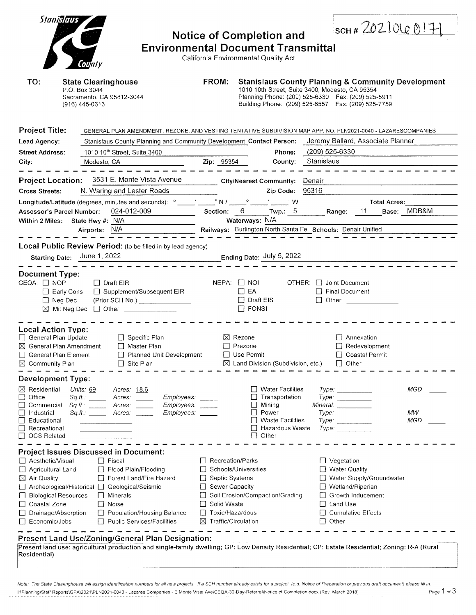| Stanislaus<br>TO:                                                                                                                                                                                                     | County                                                                                     |                                                                                                                                                              | <b>Environmental Document Transmittal</b> |                  |                                                                                                                                       | <b>Notice of Completion and</b><br>California Environmental Quality Act                                                       |         |                                                                                                                                                               |                                                                                            | 5CH#20210Q0171                                                                                                                                |  |
|-----------------------------------------------------------------------------------------------------------------------------------------------------------------------------------------------------------------------|--------------------------------------------------------------------------------------------|--------------------------------------------------------------------------------------------------------------------------------------------------------------|-------------------------------------------|------------------|---------------------------------------------------------------------------------------------------------------------------------------|-------------------------------------------------------------------------------------------------------------------------------|---------|---------------------------------------------------------------------------------------------------------------------------------------------------------------|--------------------------------------------------------------------------------------------|-----------------------------------------------------------------------------------------------------------------------------------------------|--|
|                                                                                                                                                                                                                       | <b>State Clearinghouse</b><br>P.O. Box 3044<br>Sacramento, CA 95812-3044<br>(916) 445-0613 |                                                                                                                                                              |                                           | FROM:            |                                                                                                                                       |                                                                                                                               |         | 1010 10th Street, Suite 3400, Modesto, CA 95354<br>Planning Phone: (209) 525-6330  Fax: (209) 525-5911<br>Building Phone: (209) 525-6557  Fax: (209) 525-7759 |                                                                                            | <b>Stanislaus County Planning &amp; Community Development</b>                                                                                 |  |
| <b>Project Title:</b>                                                                                                                                                                                                 |                                                                                            |                                                                                                                                                              |                                           |                  |                                                                                                                                       |                                                                                                                               |         |                                                                                                                                                               |                                                                                            | GENERAL PLAN AMENDMENT, REZONE, AND VESTING TENTATIVE SUBDIVISION MAP APP. NO. PLN2021-0040 - LAZARESCOMPANIES                                |  |
| Lead Agency:                                                                                                                                                                                                          |                                                                                            | Stanislaus County Planning and Community Development Contact Person:                                                                                         |                                           |                  |                                                                                                                                       |                                                                                                                               |         |                                                                                                                                                               |                                                                                            | Jeremy Ballard, Associate Planner                                                                                                             |  |
| <b>Street Address:</b>                                                                                                                                                                                                |                                                                                            | 1010 10 <sup>th</sup> Street, Suite 3400                                                                                                                     |                                           |                  |                                                                                                                                       |                                                                                                                               | Phone:  | (209) 525-6330                                                                                                                                                |                                                                                            |                                                                                                                                               |  |
| City:                                                                                                                                                                                                                 | Modesto, CA                                                                                |                                                                                                                                                              |                                           |                  | Zip: 95354                                                                                                                            |                                                                                                                               | County: | Stanislaus                                                                                                                                                    |                                                                                            |                                                                                                                                               |  |
| <b>Project Location:</b><br><b>Cross Streets:</b>                                                                                                                                                                     |                                                                                            | 3531 E. Monte Vista Avenue<br>N. Waring and Lester Roads                                                                                                     |                                           |                  |                                                                                                                                       | City/Nearest Community:<br>Zip Code:                                                                                          |         | Denair<br>95316                                                                                                                                               |                                                                                            |                                                                                                                                               |  |
|                                                                                                                                                                                                                       |                                                                                            | Longitude/Latitude (degrees, minutes and seconds): <sup>o</sup> virtually N / virtual of virtual with W                                                      |                                           |                  |                                                                                                                                       |                                                                                                                               |         |                                                                                                                                                               |                                                                                            | <b>Total Acres:</b>                                                                                                                           |  |
| Assessor's Parcel Number:<br>Within 2 Miles: State Hwy #: N/A                                                                                                                                                         |                                                                                            | 024-012-009                                                                                                                                                  |                                           |                  | Waterways: N/A                                                                                                                        | Section: 6 Twp.: 5                                                                                                            |         |                                                                                                                                                               | Range: 11                                                                                  | Base: MDB&M                                                                                                                                   |  |
|                                                                                                                                                                                                                       | Airports: N/A                                                                              |                                                                                                                                                              |                                           |                  |                                                                                                                                       |                                                                                                                               |         | Railways: Burlington North Santa Fe Schools: Denair Unified                                                                                                   |                                                                                            |                                                                                                                                               |  |
|                                                                                                                                                                                                                       |                                                                                            |                                                                                                                                                              |                                           |                  |                                                                                                                                       |                                                                                                                               |         |                                                                                                                                                               |                                                                                            |                                                                                                                                               |  |
|                                                                                                                                                                                                                       |                                                                                            | Local Public Review Period: (to be filled in by lead agency)                                                                                                 |                                           |                  |                                                                                                                                       |                                                                                                                               |         |                                                                                                                                                               |                                                                                            |                                                                                                                                               |  |
| Starting Date: June 1, 2022                                                                                                                                                                                           |                                                                                            |                                                                                                                                                              |                                           |                  |                                                                                                                                       | Ending Date: July 5, 2022                                                                                                     |         |                                                                                                                                                               |                                                                                            |                                                                                                                                               |  |
| CEQA: □ NOP<br>$\Box$ Early Cons<br>$\Box$ Neg Dec<br>$\boxtimes$ Mit Neg Dec                                                                                                                                         |                                                                                            | $\Box$ Draft EIR<br>□ Supplement/Subsequent EIR<br>(Prior SCH No.)<br>D Other: _______________                                                               |                                           |                  | $NEPA:$ $\Box$ NOI<br>$\Box$ EA<br>$\Box$ FONSI                                                                                       | $\Box$ Draft EIS                                                                                                              |         | OTHER: Joint Document<br>□ Final Document                                                                                                                     | □ Other: <u>___________</u>                                                                |                                                                                                                                               |  |
| <b>Local Action Type:</b><br>General Plan Update<br>$\boxtimes$ General Plan Amendment<br>General Plan Element<br>$\boxtimes$ Community Plan                                                                          |                                                                                            | $\Box$ Specific Plan<br>$\Box$ Master Plan<br>□ Planned Unit Development<br>$\Box$ Site Plan                                                                 |                                           |                  | $\boxtimes$ Rezone<br>$\Box$ Prezone<br>□ Use Permit                                                                                  | $\boxtimes$ Land Division (Subdivision, etc.)                                                                                 |         |                                                                                                                                                               | $\Box$ Annexation<br>$\Box$ Redevelopment<br>□ Coastal Permit<br>$\Box$ Other              |                                                                                                                                               |  |
| <b>Development Type:</b>                                                                                                                                                                                              |                                                                                            |                                                                                                                                                              |                                           |                  |                                                                                                                                       |                                                                                                                               |         |                                                                                                                                                               |                                                                                            |                                                                                                                                               |  |
| $\boxtimes$ Residential<br>Office<br>$\Box$<br>$\overline{\phantom{a}}$<br>Commercial<br>□<br>Industrial<br>$\Box$<br>Educational<br>$\Box$<br>Recreational<br>$\Box$ OCS Related                                     | Units: 69<br>Sq.H.:<br>Sq.H.:                                                              | Acres: 18.6<br>Acres:<br>Acres:<br>$Sq.H.:$ Acres:                                                                                                           | Employees:<br>Employees:<br>Employees:    |                  |                                                                                                                                       | <b>Water Facilities</b><br>Transportation<br>Mining<br>Power<br><b>Waste Facilities</b><br>Hazardous Waste<br>Other<br>$\Box$ |         | Mineral: <u>_______________</u><br>Type:<br>Type:                                                                                                             | Type:<br>Type:<br>Type:                                                                    | MGD<br>MW<br><b>MGD</b>                                                                                                                       |  |
|                                                                                                                                                                                                                       |                                                                                            | <b>Project Issues Discussed in Document:</b>                                                                                                                 |                                           |                  |                                                                                                                                       |                                                                                                                               |         |                                                                                                                                                               |                                                                                            |                                                                                                                                               |  |
| □ Aesthetic/Visual<br>$\Box$ Agricultural Land<br>$\boxtimes$ Air Quality<br>□ Archeological/Historical □ Geological/Seismic<br>□ Biological Resources<br>Coastal Zone<br>Drainage/Absorption<br>$\Box$ Economic/Jobs |                                                                                            | $\Box$ Fiscal<br>Flood Plain/Flooding<br>Forest Land/Fire Hazard<br>    Minerals<br>$\Box$ Noise<br>Population/Housing Balance<br>Public Services/Facilities |                                           | $\Box$<br>П<br>⊠ | Recreation/Parks<br>Schools/Universities<br>Septic Systems<br>Sewer Capacity<br>Solid Waste<br>Toxic/Hazardous<br>Traffic/Circulation | Soil Erosion/Compaction/Grading                                                                                               |         | $\Box$ Vegetation<br>Land Use<br>Other                                                                                                                        | <b>Water Quality</b><br>Wetland/Riperian<br>Growth Inducement<br><b>Cumulative Effects</b> | Water Supply/Groundwater                                                                                                                      |  |
|                                                                                                                                                                                                                       |                                                                                            | Present Land Use/Zoning/General Plan Designation:                                                                                                            |                                           |                  |                                                                                                                                       |                                                                                                                               |         |                                                                                                                                                               |                                                                                            |                                                                                                                                               |  |
| Residential)                                                                                                                                                                                                          |                                                                                            |                                                                                                                                                              |                                           |                  |                                                                                                                                       |                                                                                                                               |         |                                                                                                                                                               |                                                                                            | Present land use: agricultural production and single-family dwelling; GP: Low Density Residential; CP: Estate Residential; Zoning: R-A (Rural |  |

Note: The State Cleannghouse will assign identification numbers for all new projects. If a SCH number already exists for a project. (e.g. Notice of Preparation or previous draft document) please fill in. INPlanning\Staff Reports\GPA\2021\PLN2021-0040 - Lazares Companies - E Monte Vista Ave\CEOA-30-Day-Referral\Notice of Completion docx (Rev. March 2018) Page 1 of 3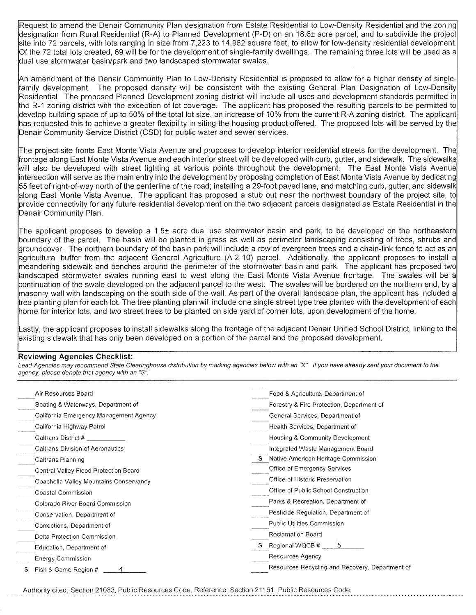Request to amend the Denair Community Plan designation from Estate Residential to Low-Density Residential and the zoning designation from Rural Residential (R-A) to Planned Development (P-D) on an 18.6± acre parcel, and to subdivide the project site into 72 parcels, with lots ranging in size from 7,223 to 14,962 square feet, to allow for low-density residential development. Of the 72 total lots created, 69 will be for the development of single-family dwellings. The remaining three lots will be used as a dual use stormwater basin/park and two landscaped stormwater swales.

An amendment of the Denair Community Plan to Low-Density Residential is proposed to allow for a higher density of singlefamily development. The proposed density will be consistent with the existing General Plan Designation of Low-Density Residential. The proposed Planned Development zoning district will include all uses and development standards permitted in the R-1 zoning district with the exception of lot coverage. The applicant has proposed the resulting parcels to be permitted to develop building space of up to 50% of the total lot size, an increase of 10% from the current R-A zoning district. The applicant has requested this to achieve a greater flexibility in siting the housing product offered. The proposed lots will be served by the Denair Community Service District (CSD) for public water and sewer services.

The project site fronts East Monte Vista Avenue and proposes to develop interior residential streets for the development. The frontage along East Monte Vista Avenue and each interior street will be developed with curb, gutter, and sidewalk. The sidewalks Will also be developed with street lighting at various points throughout the development. The East Monte Vista Avenue intersection will serve as the main entry into the development by proposing completion of East Monte Vista Avenue by dedicating 55 feet of right-of-way north of the centerline of the road; installing a 29-foot paved lane, and matching curb, gutter, and sidewalk along East Monte Vista Avenue. The applicant has proposed a stub out near the northwest boundary of the project site, to provide connectivity for any future residential development on the two adjacent parcels designated as Estate Residential in the Denair Community Plan.

The applicant proposes to develop a 1.5± acre dual use stormwater basin and park, to be developed on the northeastern boundary of the parcel. The basin will be planted in grass as well as perimeter landscaping consisting of trees, shrubs and groundcover. The northern boundary of the basin park will include a row of evergreen trees and a chain-link fence to act as an agricultural buffer from the adjacent General Agriculture (A-2-10) parcel. Additionally, the applicant proposes to install a meandering sidewalk and benches around the perimeter of the stormwater basin and park. The applicant has proposed two landscaped stormwater swales running east to west along the East Monte Vista Avenue frontage. The swales will be a continuation of the swale developed on the adjacent parcel to the west. The swales will be bordered on the northern end, by a masonry wall with landscaping on the south side of the wall. As part of the overall landscape plan, the applicant has included a tree planting plan for each lot. The tree planting plan will include one single street type tree planted with the development of each home for interior lots, and two street trees to be planted on side yard of corner lots, upon development of the home.

Lastly, the applicant proposes to install sidewalks along the frontage of the adjacent Denair Unified School District, linking to the existing sidewalk that has only been developed on a portion of the parcel and the proposed development.

## **Reviewing Agencies Checklist:**

Lead Agencies may recommend State Clearinghouse distribution by marking agencies below with an "X". If you have already sent your document to the agency, please denote that agency with an "S".

| Air Resources Board                     | Food & Agriculture, Department of               |
|-----------------------------------------|-------------------------------------------------|
| Boating & Waterways, Department of      | Forestry & Fire Protection, Department of       |
| California Emergency Management Agency  | General Services, Department of                 |
| California Highway Patrol               | Health Services, Department of                  |
| Caltrans District #                     | Housing & Community Development                 |
| <b>Caltrans Division of Aeronautics</b> | Integrated Waste Management Board               |
| Caltrans Planning                       | Native American Heritage Commission             |
| Central Valley Flood Protection Board   | Office of Emergency Services                    |
| Coachella Valley Mountains Conservancy  | Office of Historic Preservation                 |
| Coastal Commission                      | Office of Public School Construction            |
| Colorado River Board Commission         | Parks & Recreation, Department of               |
| Conservation, Department of             | Pesticide Regulation, Department of             |
| Corrections, Department of              | Public Utilities Commission                     |
| Delta Protection Commission             | <b>Reclamation Board</b>                        |
| Education, Department of                | 5<br>Regional WQCB #                            |
| <b>Energy Commission</b>                | Resources Agency                                |
| Fish & Game Region #<br>S               | Resources Recycling and Recovery, Department of |

Authority cited: Section 21083, Public Resources Code. Reference: Section 21161, Public Resources Code.